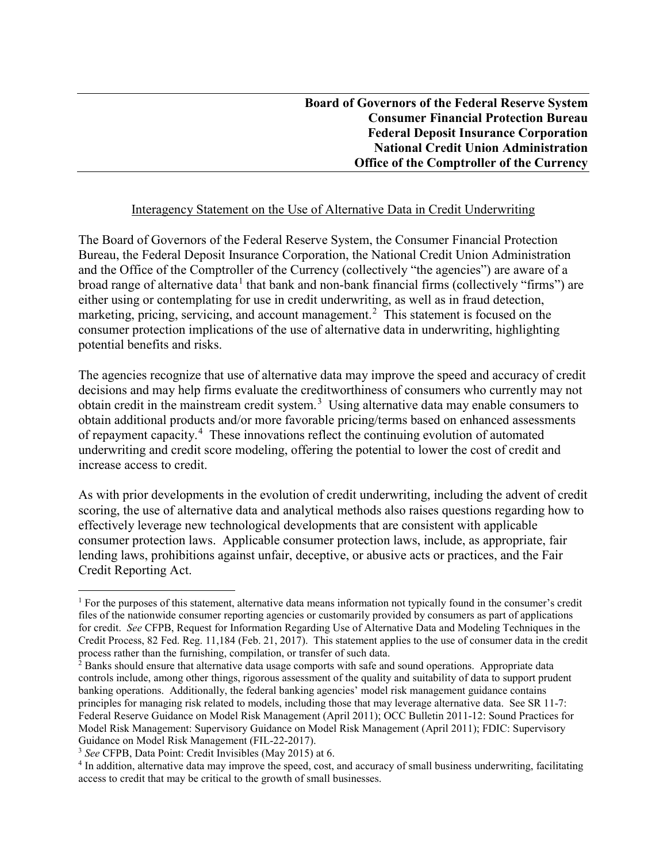## Interagency Statement on the Use of Alternative Data in Credit Underwriting

The Board of Governors of the Federal Reserve System, the Consumer Financial Protection Bureau, the Federal Deposit Insurance Corporation, the National Credit Union Administration and the Office of the Comptroller of the Currency (collectively "the agencies") are aware of a broad range of alternative data<sup>[1](#page-0-0)</sup> that bank and non-bank financial firms (collectively "firms") are either using or contemplating for use in credit underwriting, as well as in fraud detection, marketing, pricing, servicing, and account management.<sup>[2](#page-0-1)</sup> This statement is focused on the consumer protection implications of the use of alternative data in underwriting, highlighting potential benefits and risks.

The agencies recognize that use of alternative data may improve the speed and accuracy of credit decisions and may help firms evaluate the creditworthiness of consumers who currently may not obtain credit in the mainstream credit system.<sup>[3](#page-0-2)</sup> Using alternative data may enable consumers to obtain additional products and/or more favorable pricing/terms based on enhanced assessments of repayment capacity.<sup>[4](#page-0-3)</sup> These innovations reflect the continuing evolution of automated underwriting and credit score modeling, offering the potential to lower the cost of credit and increase access to credit.

As with prior developments in the evolution of credit underwriting, including the advent of credit scoring, the use of alternative data and analytical methods also raises questions regarding how to effectively leverage new technological developments that are consistent with applicable consumer protection laws. Applicable consumer protection laws, include, as appropriate, fair lending laws, prohibitions against unfair, deceptive, or abusive acts or practices, and the Fair Credit Reporting Act.

<span id="page-0-0"></span> $<sup>1</sup>$  For the purposes of this statement, alternative data means information not typically found in the consumer's credit</sup> files of the nationwide consumer reporting agencies or customarily provided by consumers as part of applications for credit. *See* CFPB, Request for Information Regarding Use of Alternative Data and Modeling Techniques in the Credit Process, 82 Fed. Reg. 11,184 (Feb. 21, 2017). This statement applies to the use of consumer data in the credit process rather than the furnishing, compilation, or transfer of such data.

<span id="page-0-1"></span> $2^2$  Banks should ensure that alternative data usage comports with safe and sound operations. Appropriate data controls include, among other things, rigorous assessment of the quality and suitability of data to support prudent banking operations. Additionally, the federal banking agencies' model risk management guidance contains principles for managing risk related to models, including those that may leverage alternative data. See SR 11-7: Federal Reserve Guidance on Model Risk Management (April 2011); OCC Bulletin 2011-12: Sound Practices for Model Risk Management: Supervisory Guidance on Model Risk Management (April 2011); FDIC: Supervisory Guidance on Model Risk Management (FIL-22-2017). 3 *See* CFPB, Data Point: Credit Invisibles (May 2015) at 6.

<span id="page-0-2"></span>

<span id="page-0-3"></span><sup>4</sup> In addition, alternative data may improve the speed, cost, and accuracy of small business underwriting, facilitating access to credit that may be critical to the growth of small businesses.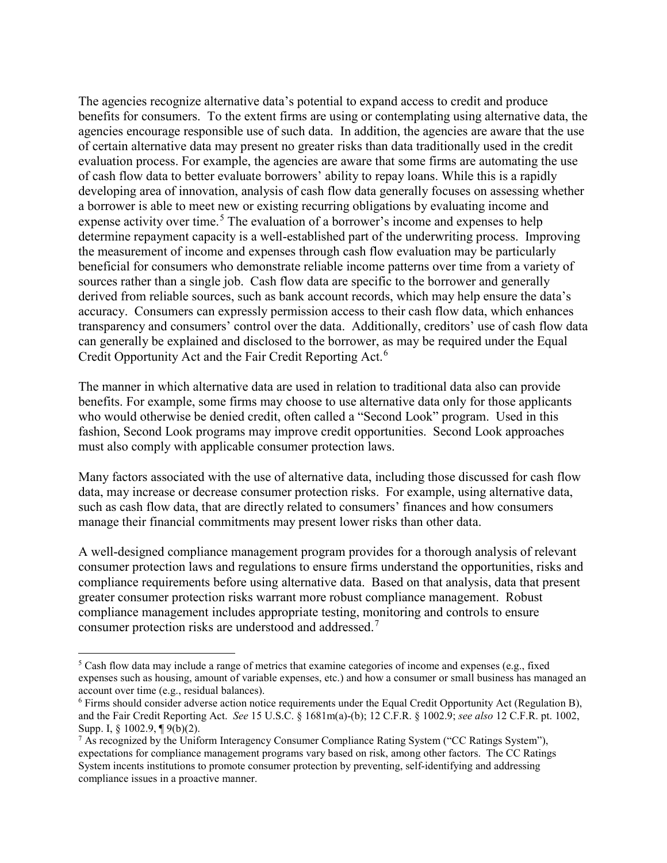The agencies recognize alternative data's potential to expand access to credit and produce benefits for consumers. To the extent firms are using or contemplating using alternative data, the agencies encourage responsible use of such data. In addition, the agencies are aware that the use of certain alternative data may present no greater risks than data traditionally used in the credit evaluation process. For example, the agencies are aware that some firms are automating the use of cash flow data to better evaluate borrowers' ability to repay loans. While this is a rapidly developing area of innovation, analysis of cash flow data generally focuses on assessing whether a borrower is able to meet new or existing recurring obligations by evaluating income and expense activity over time.<sup>[5](#page-1-0)</sup> The evaluation of a borrower's income and expenses to help determine repayment capacity is a well-established part of the underwriting process. Improving the measurement of income and expenses through cash flow evaluation may be particularly beneficial for consumers who demonstrate reliable income patterns over time from a variety of sources rather than a single job. Cash flow data are specific to the borrower and generally derived from reliable sources, such as bank account records, which may help ensure the data's accuracy. Consumers can expressly permission access to their cash flow data, which enhances transparency and consumers' control over the data. Additionally, creditors' use of cash flow data can generally be explained and disclosed to the borrower, as may be required under the Equal Credit Opportunity Act and the Fair Credit Reporting Act.[6](#page-1-1)

The manner in which alternative data are used in relation to traditional data also can provide benefits. For example, some firms may choose to use alternative data only for those applicants who would otherwise be denied credit, often called a "Second Look" program. Used in this fashion, Second Look programs may improve credit opportunities. Second Look approaches must also comply with applicable consumer protection laws.

Many factors associated with the use of alternative data, including those discussed for cash flow data, may increase or decrease consumer protection risks. For example, using alternative data, such as cash flow data, that are directly related to consumers' finances and how consumers manage their financial commitments may present lower risks than other data.

A well-designed compliance management program provides for a thorough analysis of relevant consumer protection laws and regulations to ensure firms understand the opportunities, risks and compliance requirements before using alternative data. Based on that analysis, data that present greater consumer protection risks warrant more robust compliance management. Robust compliance management includes appropriate testing, monitoring and controls to ensure consumer protection risks are understood and addressed.<sup>[7](#page-1-2)</sup>

<span id="page-1-0"></span><sup>&</sup>lt;sup>5</sup> Cash flow data may include a range of metrics that examine categories of income and expenses (e.g., fixed expenses such as housing, amount of variable expenses, etc.) and how a consumer or small business has managed an account over time (e.g., residual balances).

<span id="page-1-1"></span><sup>&</sup>lt;sup>6</sup> Firms should consider adverse action notice requirements under the Equal Credit Opportunity Act (Regulation B), and the Fair Credit Reporting Act. *See* 15 U.S.C. § 1681m(a)-(b); 12 C.F.R. § 1002.9; *see also* 12 C.F.R. pt. 1002, Supp. I, § 1002.9, ¶ 9(b)(2).

<span id="page-1-2"></span> $7$  As recognized by the Uniform Interagency Consumer Compliance Rating System ("CC Ratings System"), expectations for compliance management programs vary based on risk, among other factors. The CC Ratings System incents institutions to promote consumer protection by preventing, self-identifying and addressing compliance issues in a proactive manner.